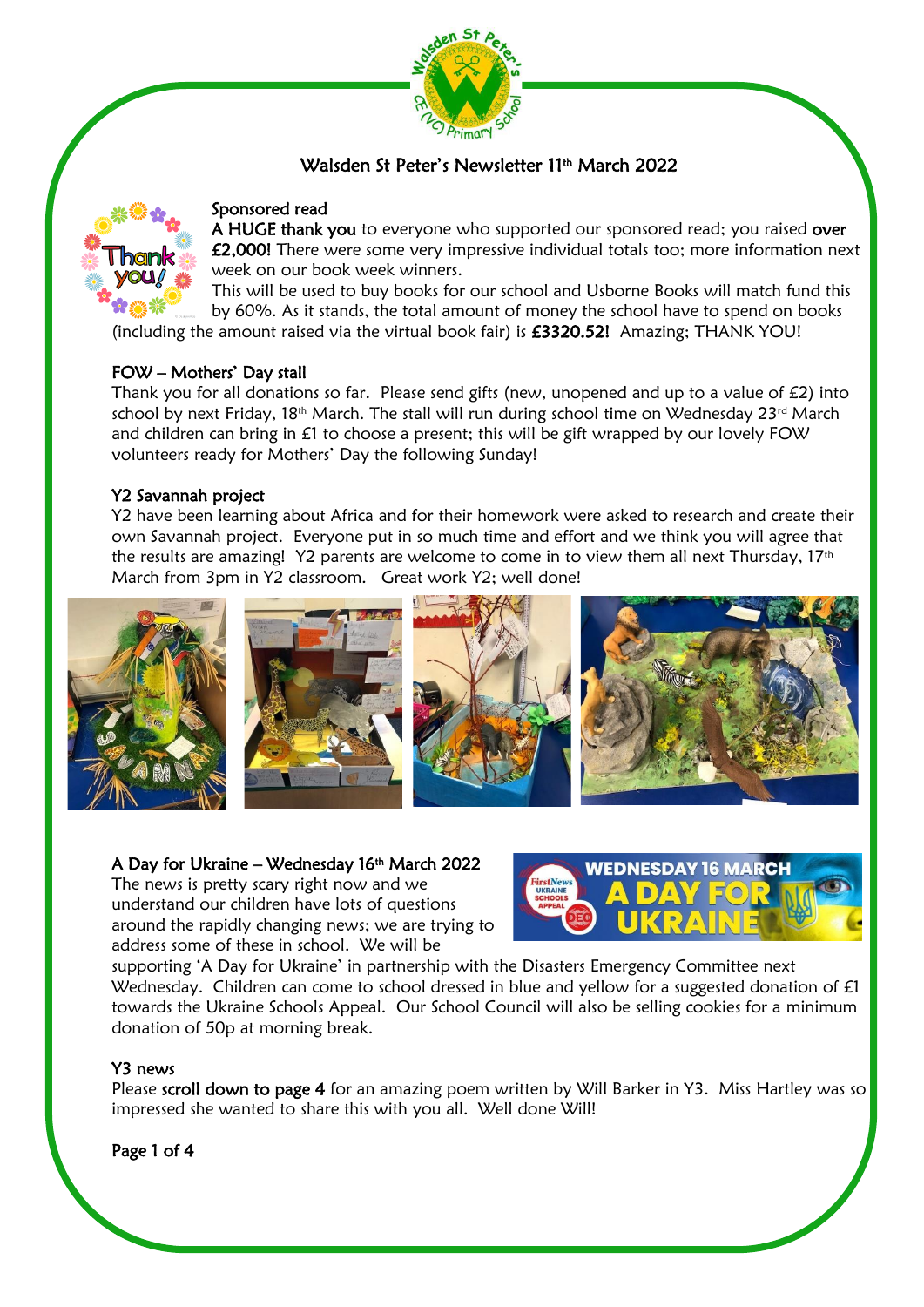

# Walsden St Peter's Newsletter 11th March 2022



# Sponsored read

A HUGE thank you to everyone who supported our sponsored read; you raised over £2,000! There were some very impressive individual totals too; more information next week on our book week winners.

This will be used to buy books for our school and Usborne Books will match fund this by 60%. As it stands, the total amount of money the school have to spend on books (including the amount raised via the virtual book fair) is  $£3320.52!$  Amazing; THANK YOU!

# FOW – Mothers' Day stall

Thank you for all donations so far. Please send gifts (new, unopened and up to a value of £2) into school by next Friday,  $18<sup>th</sup>$  March. The stall will run during school time on Wednesday 23<sup>rd</sup> March and children can bring in £1 to choose a present; this will be gift wrapped by our lovely FOW volunteers ready for Mothers' Day the following Sunday!

# Y2 Savannah project

Y2 have been learning about Africa and for their homework were asked to research and create their own Savannah project. Everyone put in so much time and effort and we think you will agree that the results are amazing! Y2 parents are welcome to come in to view them all next Thursday, 17<sup>th</sup> March from 3pm in Y2 classroom. Great work Y2; well done!



# A Day for Ukraine – Wednesday 16th March 2022

The news is pretty scary right now and we understand our children have lots of questions around the rapidly changing news; we are trying to address some of these in school. We will be



supporting 'A Day for Ukraine' in partnership with the Disasters Emergency Committee next Wednesday. Children can come to school dressed in blue and yellow for a suggested donation of £1 towards the Ukraine Schools Appeal. Our School Council will also be selling cookies for a minimum donation of 50p at morning break.

#### Y3 news

Please scroll down to page 4 for an amazing poem written by Will Barker in Y3. Miss Hartley was so impressed she wanted to share this with you all. Well done Will!

Page 1 of 4

Ŝ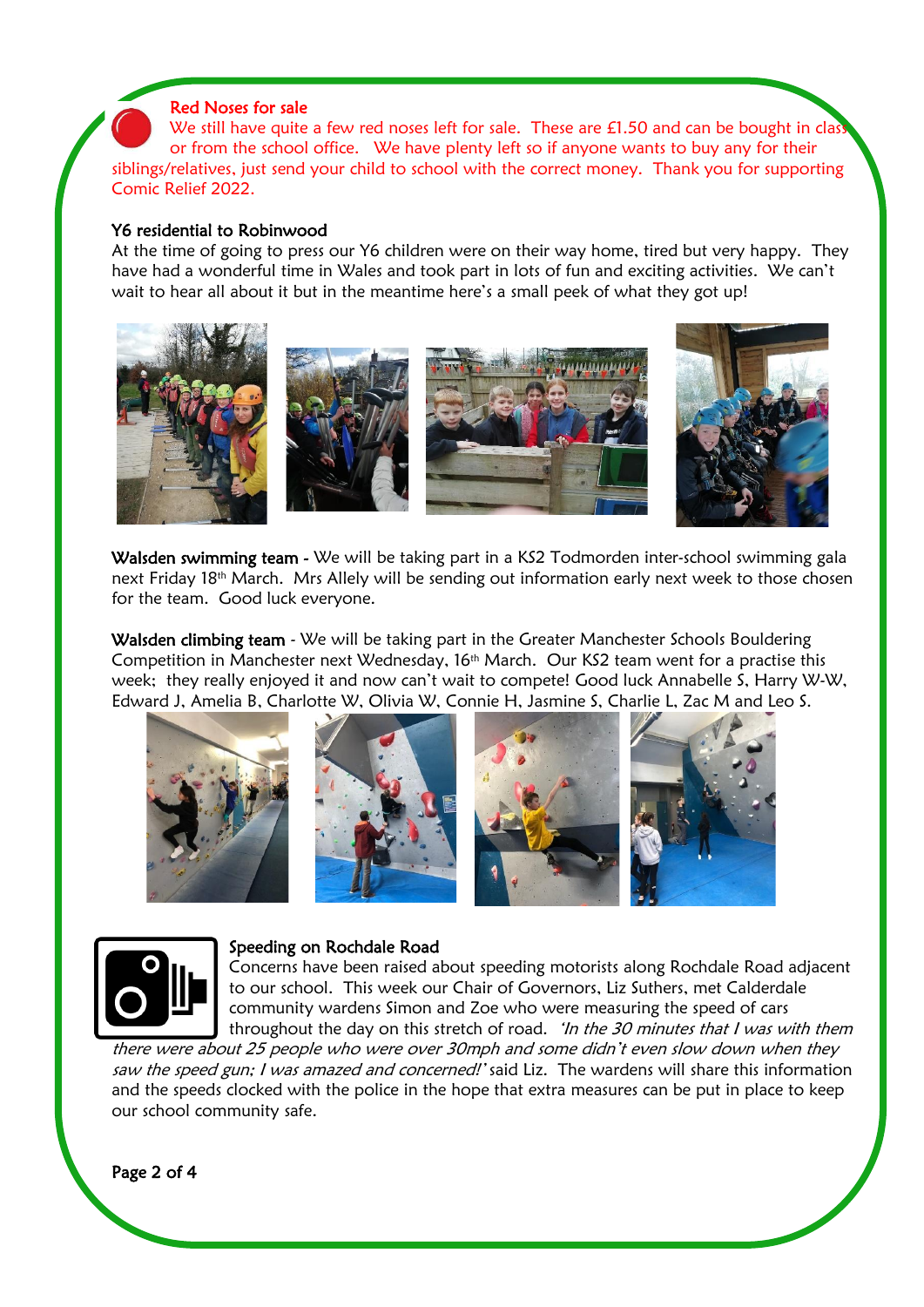## Red Noses for sale

We still have quite a few red noses left for sale. These are £1.50 and can be bought in clas or from the school office. We have plenty left so if anyone wants to buy any for their siblings/relatives, just send your child to school with the correct money. Thank you for supporting Comic Relief 2022.

#### Y6 residential to Robinwood

At the time of going to press our Y6 children were on their way home, tired but very happy. They have had a wonderful time in Wales and took part in lots of fun and exciting activities. We can't wait to hear all about it but in the meantime here's a small peek of what they got up!



Walsden swimming team - We will be taking part in a KS2 Todmorden inter-school swimming gala next Friday 18th March. Mrs Allely will be sending out information early next week to those chosen for the team. Good luck everyone.

Walsden climbing team - We will be taking part in the Greater Manchester Schools Bouldering Competition in Manchester next Wednesday, 16th March. Our KS2 team went for a practise this week; they really enjoyed it and now can't wait to compete! Good luck Annabelle S, Harry W-W, Edward J, Amelia B, Charlotte W, Olivia W, Connie H, Jasmine S, Charlie L, Zac M and Leo S.







#### Speeding on Rochdale Road

Concerns have been raised about speeding motorists along Rochdale Road adjacent to our school. This week our Chair of Governors, Liz Suthers, met Calderdale community wardens Simon and Zoe who were measuring the speed of cars throughout the day on this stretch of road. 'In the 30 minutes that I was with them

there were about 25 people who were over 30mph and some didn't even slow down when they saw the speed gun; I was amazed and concerned!' said Liz. The wardens will share this information and the speeds clocked with the police in the hope that extra measures can be put in place to keep our school community safe.

Page 2 of 4

í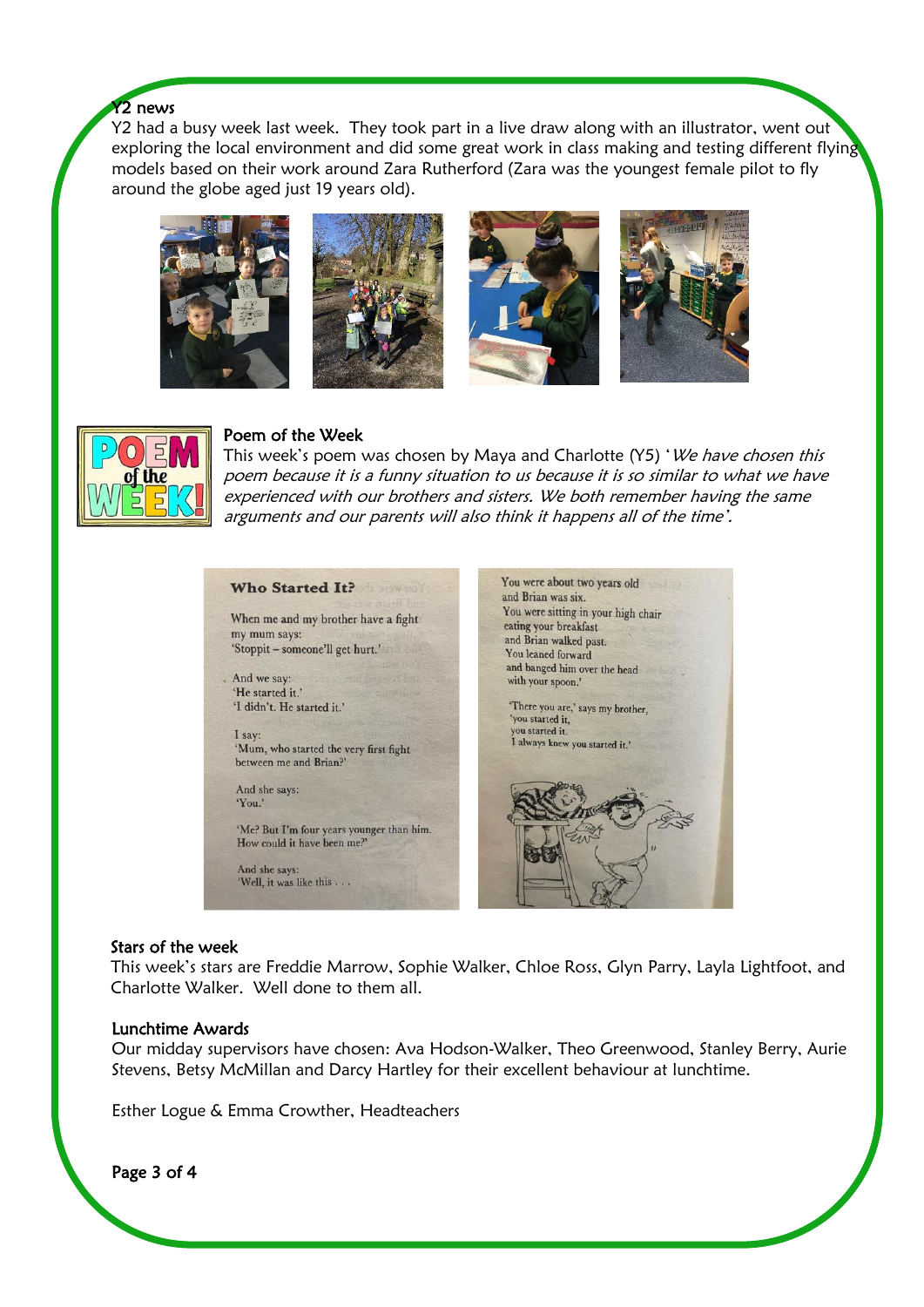# Y<sub>2</sub> news

Y2 had a busy week last week. They took part in a live draw along with an illustrator, went out exploring the local environment and did some great work in class making and testing different flying models based on their work around Zara Rutherford (Zara was the youngest female pilot to fly around the globe aged just 19 years old).











# Poem of the Week

This week's poem was chosen by Maya and Charlotte (Y5) 'We have chosen this poem because it is a funny situation to us because it is so similar to what we have experienced with our brothers and sisters. We both remember having the same arguments and our parents will also think it happens all of the time'.

| Who Started It?<br>When me and my brother have a fight<br>my mum says:<br>'Stoppit – someone'll get hurt.'<br>And we say:<br>'He started it.'<br>'I didn't. He started it.'<br>I say:<br>'Mum, who started the very first fight<br>between me and Brian?' | You were about two years old<br>and Brian was six.<br>You were sitting in your high chair<br>eating your breakfast<br>and Brian walked past.<br>You leaned forward<br>and banged him over the head<br>with your spoon.'<br>'There you are,' says my brother,<br>'you started it.<br>you started it.<br>I always knew you started it.' |
|-----------------------------------------------------------------------------------------------------------------------------------------------------------------------------------------------------------------------------------------------------------|---------------------------------------------------------------------------------------------------------------------------------------------------------------------------------------------------------------------------------------------------------------------------------------------------------------------------------------|
| And she says:<br>'You.'<br>'Me? But I'm four years younger than him.<br>How could it have been me?'                                                                                                                                                       |                                                                                                                                                                                                                                                                                                                                       |
| And she says:<br>'Well, it was like this                                                                                                                                                                                                                  |                                                                                                                                                                                                                                                                                                                                       |

# Stars of the week

This week's stars are Freddie Marrow, Sophie Walker, Chloe Ross, Glyn Parry, Layla Lightfoot, and Charlotte Walker. Well done to them all.

#### Lunchtime Awards

Our midday supervisors have chosen: Ava Hodson-Walker, Theo Greenwood, Stanley Berry, Aurie Stevens, Betsy McMillan and Darcy Hartley for their excellent behaviour at lunchtime.

 $\overline{a}$ 

Esther Logue & Emma Crowther, Headteachers

Page 3 of 4